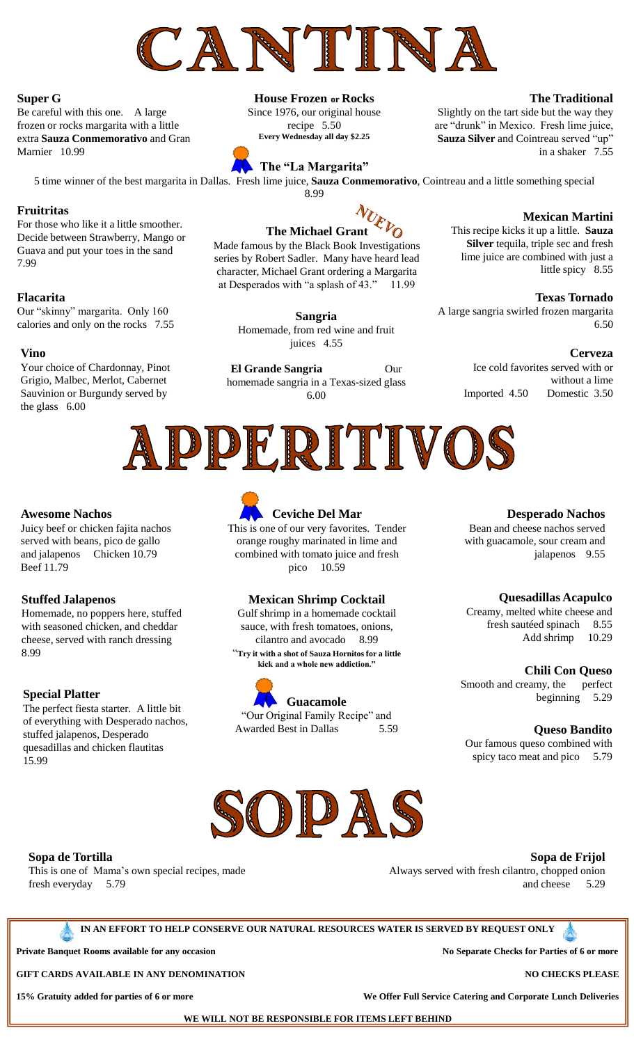

## **Super G**

Be careful with this one. A large frozen or rocks margarita with a little extra **Sauza Conmemorativo** and Gran Marnier 10.99

# **House Frozen or Rocks**

Since 1976, our original house recipe 5.50 **Every Wednesday all day \$2.25**

8.99



5 time winner of the best margarita in Dallas. Fresh lime juice, **Sauza Conmemorativo**, Cointreau and a little something special

### **Fruitritas**

For those who like it a little smoother. Decide between Strawberry, Mango or Guava and put your toes in the sand 7.99

#### **Flacarita**

Our "skinny" margarita. Only 160 calories and only on the rocks 7.55

#### **Vino**

Your choice of Chardonnay, Pinot Grigio, Malbec, Merlot, Cabernet Sauvinion or Burgundy served by the glass 6.00

# **The Michael Grant**

Made famous by the Black Book Investigations series by Robert Sadler. Many have heard lead character, Michael Grant ordering a Margarita at Desperados with "a splash of 43." 11.99

> **Sangria** Homemade, from red wine and fruit juices 4.55

**El Grande Sangria** Our homemade sangria in a Texas-sized glass 6.00

## **The Traditional**

Slightly on the tart side but the way they are "drunk" in Mexico. Fresh lime juice, **Sauza Silver** and Cointreau served "up" in a shaker 7.55

#### **Mexican Martini**

This recipe kicks it up a little. **Sauza Silver** tequila, triple sec and fresh lime juice are combined with just a little spicy 8.55

#### **Texas Tornado**

A large sangria swirled frozen margarita 6.50

#### **Cerveza**

Ice cold favorites served with or without a lime Imported 4.50 Domestic 3.50



#### **Awesome Nachos**

Juicy beef or chicken fajita nachos served with beans, pico de gallo and jalapenos Chicken 10.79 Beef 11.79

#### **Stuffed Jalapenos**

Homemade, no poppers here, stuffed with seasoned chicken, and cheddar cheese, served with ranch dressing 8.99

#### **Special Platter**

The perfect fiesta starter. A little bit of everything with Desperado nachos, stuffed jalapenos, Desperado quesadillas and chicken flautitas 15.99



# **Ceviche Del Mar**

This is one of our very favorites. Tender orange roughy marinated in lime and combined with tomato juice and fresh pico 10.59

#### **Mexican Shrimp Cocktail**

Gulf shrimp in a homemade cocktail sauce, with fresh tomatoes, onions, cilantro and avocado 8.99 "**Try it with a shot of Sauza Hornitos for a little kick and a whole new addiction."**



**Guacamole** "Our Original Family Recipe" and Awarded Best in Dallas 5.59

#### **Desperado Nachos**

Bean and cheese nachos served with guacamole, sour cream and jalapenos 9.55

#### **Quesadillas Acapulco**

Creamy, melted white cheese and fresh sautéed spinach 8.55 Add shrimp 10.29

#### **Chili Con Queso**

Smooth and creamy, the perfect beginning 5.29

#### **Queso Bandito**

Our famous queso combined with spicy taco meat and pico 5.79



#### **Sopa de Tortilla**

This is one of Mama's own special recipes, made fresh everyday 5.79

**Sopa de Frijol**

Always served with fresh cilantro, chopped onion and cheese 5.29

**IN AN EFFORT TO HELP CONSERVE OUR NATURAL RESOURCES WATER IS SERVED BY REQUEST ONLY**

**Private Banquet Rooms available for any occasion and a set of the separate Checks for Parties of 6 or more** 

**GIFT CARDS AVAILABLE IN ANY DENOMINATION NO CHECKS PLEASE**

**15% Gratuity added for parties of 6 or more We Offer Full Service Catering and Corporate Lunch Deliveries**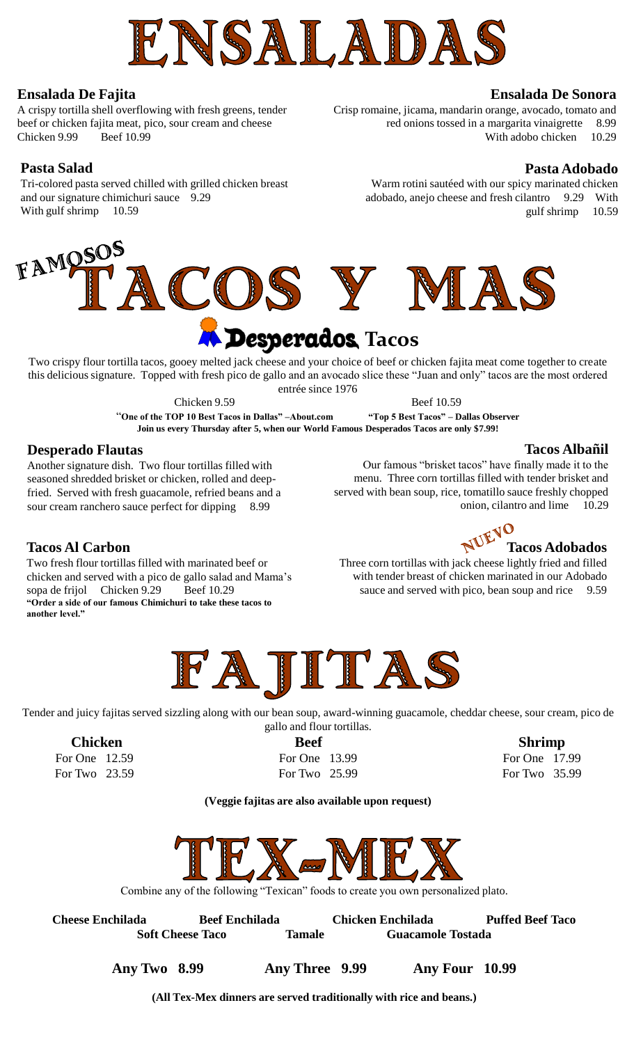

# **Ensalada De Fajita**

A crispy tortilla shell overflowing with fresh greens, tender beef or chicken fajita meat, pico, sour cream and cheese Chicken 9.99 Beef 10.99

# **Pasta Salad**

Tri-colored pasta served chilled with grilled chicken breast and our signature chimichuri sauce 9.29 With gulf shrimp 10.59

## **Ensalada De Sonora**

Crisp romaine, jicama, mandarin orange, avocado, tomato and red onions tossed in a margarita vinaigrette 8.99 With adobo chicken 10.29

# **Pasta Adobado**

Warm rotini sautéed with our spicy marinated chicken adobado, anejo cheese and fresh cilantro 9.29 With gulf shrimp 10.59



Two crispy flour tortilla tacos, gooey melted jack cheese and your choice of beef or chicken fajita meat come together to create this delicious signature. Topped with fresh pico de gallo and an avocado slice these "Juan and only" tacos are the most ordered entrée since 1976

Chicken 9.59 Beef 10.59

"**One of the TOP 10 Best Tacos in Dallas" –About.com "Top 5 Best Tacos" – Dallas Observer Join us every Thursday after 5, when our World Famous Desperados Tacos are only \$7.99!**

# **Desperado Flautas**

Another signature dish. Two flour tortillas filled with seasoned shredded brisket or chicken, rolled and deepfried. Served with fresh guacamole, refried beans and a sour cream ranchero sauce perfect for dipping 8.99

# **Tacos Al Carbon**

Two fresh flour tortillas filled with marinated beef or chicken and served with a pico de gallo salad and Mama's sopa de frijol Chicken 9.29 Beef 10.29 **"Order a side of our famous Chimichuri to take these tacos to another level."**

## **Tacos Albañil**

Our famous "brisket tacos" have finally made it to the menu. Three corn tortillas filled with tender brisket and served with bean soup, rice, tomatillo sauce freshly chopped onion, cilantro and lime 10.29

**NUEVO** Tacos Adobados Three corn tortillas with jack cheese lightly fried and filled with tender breast of chicken marinated in our Adobado sauce and served with pico, bean soup and rice 9.59



Tender and juicy fajitas served sizzling along with our bean soup, award-winning guacamole, cheddar cheese, sour cream, pico de gallo and flour tortillas.

For Two 23.59 **For Two 25.99** For Two 25.99 **For Two 35.99** 

**Chicken Beef Shrimp** For One 12.59 **For One 13.99** For One 17.99

**(Veggie fajitas are also available upon request)**



Combine any of the following "Texican" foods to create you own personalized plato.

| <b>Cheese Enchilada</b> | <b>Beef Enchilada</b> |               | <b>Chicken Enchilada</b> | <b>Puffed Beef Taco</b> |
|-------------------------|-----------------------|---------------|--------------------------|-------------------------|
| <b>Soft Cheese Taco</b> |                       | <b>Tamale</b> | Guacamole Tostada        |                         |

**Any Two 8.99 Any Three 9.99 Any Four 10.99**

**(All Tex-Mex dinners are served traditionally with rice and beans.)**